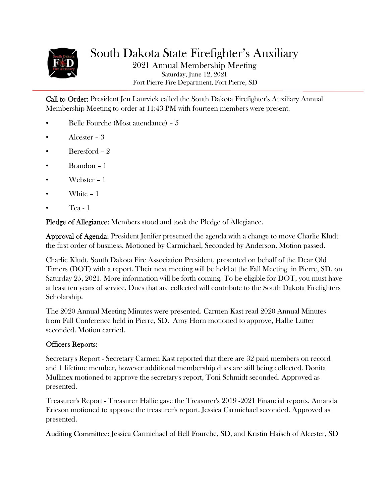

South Dakota State Firefighter's Auxiliary 2021 Annual Membership Meeting Saturday, June 12, 2021 Fort Pierre Fire Department, Fort Pierre, SD

Call to Order: President Jen Laurvick called the South Dakota Firefighter's Auxiliary Annual Membership Meeting to order at 11:43 PM with fourteen members were present.

- Belle Fourche (Most attendance) 5
- Alcester 3
- Beresford 2
- Brandon 1
- Webster 1
- White 1
- Tea 1

Pledge of Allegiance: Members stood and took the Pledge of Allegiance.

Approval of Agenda: President Jenifer presented the agenda with a change to move Charlie Kludt the first order of business. Motioned by Carmichael, Seconded by Anderson. Motion passed.

Charlie Kludt, South Dakota Fire Association President, presented on behalf of the Dear Old Timers (DOT) with a report. Their next meeting will be held at the Fall Meeting in Pierre, SD, on Saturday 25, 2021. More information will be forth coming. To be eligible for DOT, you must have at least ten years of service. Dues that are collected will contribute to the South Dakota Firefighters Scholarship.

The 2020 Annual Meeting Minutes were presented. Carmen Kast read 2020 Annual Minutes from Fall Conference held in Pierre, SD. Amy Horn motioned to approve, Hallie Lutter seconded. Motion carried.

#### Officers Reports:

Secretary's Report - Secretary Carmen Kast reported that there are 32 paid members on record and 1 lifetime member, however additional membership dues are still being collected. Donita Mullinex motioned to approve the secretary's report, Toni Schmidt seconded. Approved as presented.

Treasurer's Report - Treasurer Hallie gave the Treasurer's 2019 -2021 Financial reports. Amanda Ericson motioned to approve the treasurer's report. Jessica Carmichael seconded. Approved as presented.

Auditing Committee: Jessica Carmichael of Bell Fourche, SD, and Kristin Haisch of Alcester, SD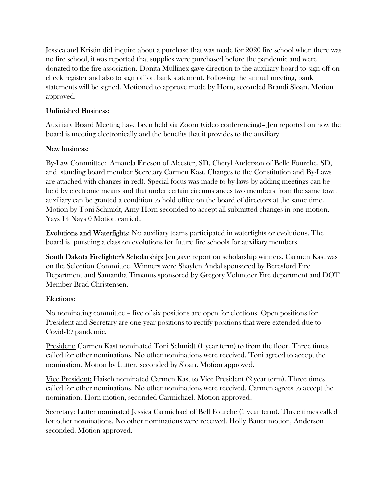Jessica and Kristin did inquire about a purchase that was made for 2020 fire school when there was no fire school, it was reported that supplies were purchased before the pandemic and were donated to the fire association. Donita Mullinex gave direction to the auxiliary board to sign off on check register and also to sign off on bank statement. Following the annual meeting, bank statements will be signed. Motioned to approve made by Horn, seconded Brandi Sloan. Motion approved.

#### Unfinished Business:

Auxiliary Board Meeting have been held via Zoom (video conferencing)– Jen reported on how the board is meeting electronically and the benefits that it provides to the auxiliary.

## New business:

By-Law Committee: Amanda Ericson of Alcester, SD, Cheryl Anderson of Belle Fourche, SD, and standing board member Secretary Carmen Kast. Changes to the Constitution and By-Laws are attached with changes in red). Special focus was made to by-laws by adding meetings can be held by electronic means and that under certain circumstances two members from the same town auxiliary can be granted a condition to hold office on the board of directors at the same time. Motion by Toni Schmidt, Amy Horn seconded to accept all submitted changes in one motion. Yays 14 Nays 0 Motion carried.

Evolutions and Waterfights: No auxiliary teams participated in waterfights or evolutions. The board is pursuing a class on evolutions for future fire schools for auxiliary members.

South Dakota Firefighter's Scholarship: Jen gave report on scholarship winners. Carmen Kast was on the Selection Committee. Winners were Shaylen Andal sponsored by Beresford Fire Department and Samantha Timanus sponsored by Gregory Volunteer Fire department and DOT Member Brad Christensen.

# Elections:

No nominating committee – five of six positions are open for elections. Open positions for President and Secretary are one-year positions to rectify positions that were extended due to Covid-19 pandemic.

President: Carmen Kast nominated Toni Schmidt (1 year term) to from the floor. Three times called for other nominations. No other nominations were received. Toni agreed to accept the nomination. Motion by Lutter, seconded by Sloan. Motion approved.

Vice President: Haisch nominated Carmen Kast to Vice President (2 year term). Three times called for other nominations. No other nominations were received. Carmen agrees to accept the nomination. Horn motion, seconded Carmichael. Motion approved.

Secretary: Lutter nominated Jessica Carmichael of Bell Fourche (1 year term). Three times called for other nominations. No other nominations were received. Holly Bauer motion, Anderson seconded. Motion approved.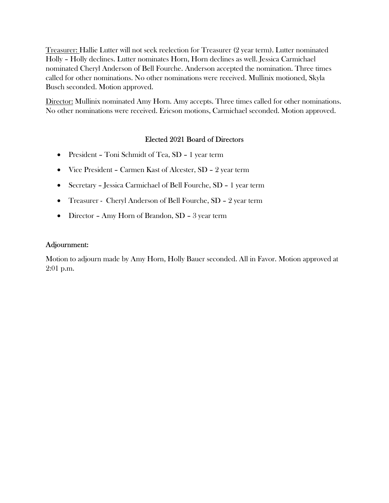Treasurer: Hallie Lutter will not seek reelection for Treasurer (2 year term). Lutter nominated Holly – Holly declines. Lutter nominates Horn, Horn declines as well. Jessica Carmichael nominated Cheryl Anderson of Bell Fourche. Anderson accepted the nomination. Three times called for other nominations. No other nominations were received. Mullinix motioned, Skyla Busch seconded. Motion approved.

Director: Mullinix nominated Amy Horn. Amy accepts. Three times called for other nominations. No other nominations were received. Ericson motions, Carmichael seconded. Motion approved.

## Elected 2021 Board of Directors

- President Toni Schmidt of Tea, SD 1 year term
- Vice President Carmen Kast of Alcester, SD 2 year term
- Secretary Jessica Carmichael of Bell Fourche, SD 1 year term
- Treasurer Cheryl Anderson of Bell Fourche, SD 2 year term
- Director Amy Horn of Brandon, SD 3 year term

#### Adjournment:

Motion to adjourn made by Amy Horn, Holly Bauer seconded. All in Favor. Motion approved at 2:01 p.m.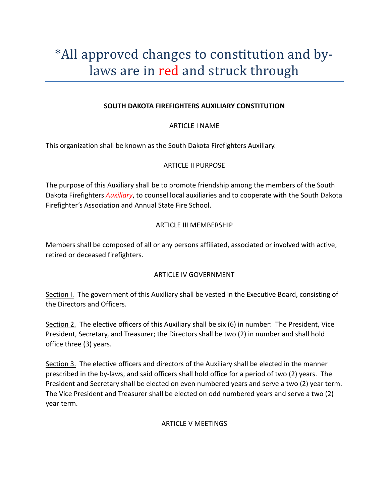# \*All approved changes to constitution and bylaws are in red and struck through

#### SOUTH DAKOTA FIREFIGHTERS AUXILIARY CONSTITUTION

#### ARTICLE I NAME

This organization shall be known as the South Dakota Firefighters Auxiliary.

#### ARTICLE II PURPOSE

The purpose of this Auxiliary shall be to promote friendship among the members of the South Dakota Firefighters Auxiliary, to counsel local auxiliaries and to cooperate with the South Dakota Firefighter's Association and Annual State Fire School.

#### ARTICLE III MEMBERSHIP

Members shall be composed of all or any persons affiliated, associated or involved with active, retired or deceased firefighters.

#### ARTICLE IV GOVERNMENT

Section I. The government of this Auxiliary shall be vested in the Executive Board, consisting of the Directors and Officers.

Section 2. The elective officers of this Auxiliary shall be six (6) in number: The President, Vice President, Secretary, and Treasurer; the Directors shall be two (2) in number and shall hold office three (3) years.

Section 3. The elective officers and directors of the Auxiliary shall be elected in the manner prescribed in the by-laws, and said officers shall hold office for a period of two (2) years. The President and Secretary shall be elected on even numbered years and serve a two (2) year term. The Vice President and Treasurer shall be elected on odd numbered years and serve a two (2) year term.

#### ARTICLE V MEETINGS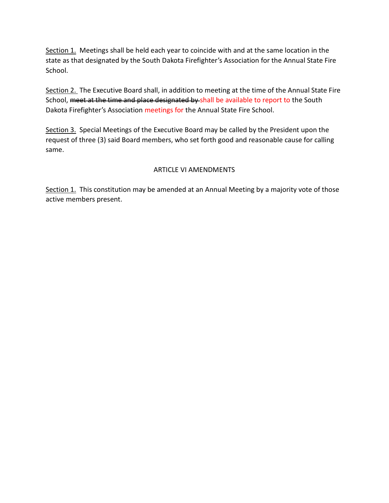Section 1. Meetings shall be held each year to coincide with and at the same location in the state as that designated by the South Dakota Firefighter's Association for the Annual State Fire School.

Section 2. The Executive Board shall, in addition to meeting at the time of the Annual State Fire School, meet at the time and place designated by shall be available to report to the South Dakota Firefighter's Association meetings for the Annual State Fire School.

Section 3. Special Meetings of the Executive Board may be called by the President upon the request of three (3) said Board members, who set forth good and reasonable cause for calling same.

#### ARTICLE VI AMENDMENTS

Section 1. This constitution may be amended at an Annual Meeting by a majority vote of those active members present.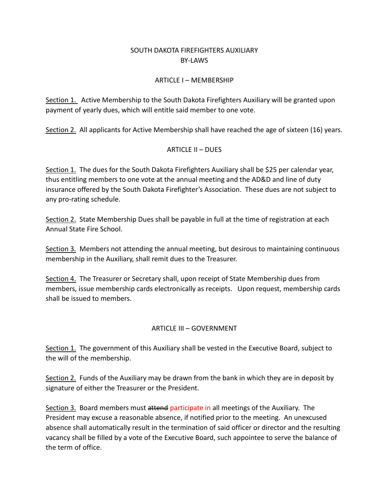## SOUTH DAKOTA FIREFIGHTERS AUXILIARY BY-LAWS

## ARTICLE I – MEMBERSHIP

Section 1. Active Membership to the South Dakota Firefighters Auxiliary will be granted upon payment of yearly dues, which will entitle said member to one vote.

Section 2. All applicants for Active Membership shall have reached the age of sixteen (16) years.

## ARTICLE II – DUES

Section 1. The dues for the South Dakota Firefighters Auxiliary shall be \$25 per calendar year, thus entitling members to one vote at the annual meeting and the AD&D and line of duty insurance offered by the South Dakota Firefighter's Association. These dues are not subject to any pro-rating schedule.

Section 2. State Membership Dues shall be payable in full at the time of registration at each Annual State Fire School.

Section 3. Members not attending the annual meeting, but desirous to maintaining continuous membership in the Auxiliary, shall remit dues to the Treasurer.

Section 4. The Treasurer or Secretary shall, upon receipt of State Membership dues from members, issue membership cards electronically as receipts. Upon request, membership cards shall be issued to members.

# ARTICLE III – GOVERNMENT

Section 1. The government of this Auxiliary shall be vested in the Executive Board, subject to the will of the membership.

Section 2. Funds of the Auxiliary may be drawn from the bank in which they are in deposit by signature of either the Treasurer or the President.

Section 3. Board members must attend participate in all meetings of the Auxiliary. The President may excuse a reasonable absence, if notified prior to the meeting. An unexcused absence shall automatically result in the termination of said officer or director and the resulting vacancy shall be filled by a vote of the Executive Board, such appointee to serve the balance of the term of office.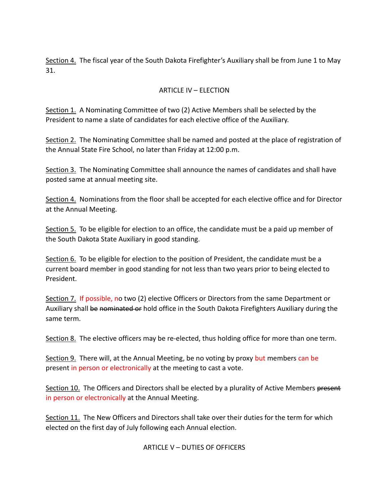Section 4. The fiscal year of the South Dakota Firefighter's Auxiliary shall be from June 1 to May 31.

## ARTICLE IV – ELECTION

Section 1. A Nominating Committee of two (2) Active Members shall be selected by the President to name a slate of candidates for each elective office of the Auxiliary.

Section 2. The Nominating Committee shall be named and posted at the place of registration of the Annual State Fire School, no later than Friday at 12:00 p.m.

Section 3. The Nominating Committee shall announce the names of candidates and shall have posted same at annual meeting site.

Section 4. Nominations from the floor shall be accepted for each elective office and for Director at the Annual Meeting.

Section 5. To be eligible for election to an office, the candidate must be a paid up member of the South Dakota State Auxiliary in good standing.

Section 6. To be eligible for election to the position of President, the candidate must be a current board member in good standing for not less than two years prior to being elected to President.

Section 7. If possible, no two (2) elective Officers or Directors from the same Department or Auxiliary shall be nominated or hold office in the South Dakota Firefighters Auxiliary during the same term.

Section 8. The elective officers may be re-elected, thus holding office for more than one term.

Section 9. There will, at the Annual Meeting, be no voting by proxy but members can be present in person or electronically at the meeting to cast a vote.

Section 10. The Officers and Directors shall be elected by a plurality of Active Members present in person or electronically at the Annual Meeting.

Section 11. The New Officers and Directors shall take over their duties for the term for which elected on the first day of July following each Annual election.

#### ARTICLE V – DUTIES OF OFFICERS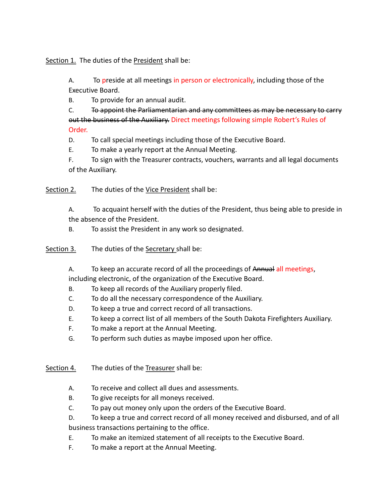Section 1. The duties of the President shall be:

A. To preside at all meetings in person or electronically, including those of the Executive Board.

B. To provide for an annual audit.

C. To appoint the Parliamentarian and any committees as may be necessary to carry out the business of the Auxiliary. Direct meetings following simple Robert's Rules of Order.

D. To call special meetings including those of the Executive Board.

E. To make a yearly report at the Annual Meeting.

F. To sign with the Treasurer contracts, vouchers, warrants and all legal documents of the Auxiliary.

Section 2. The duties of the Vice President shall be:

A. To acquaint herself with the duties of the President, thus being able to preside in the absence of the President.

B. To assist the President in any work so designated.

Section 3. The duties of the Secretary shall be:

A. To keep an accurate record of all the proceedings of Annual all meetings, including electronic, of the organization of the Executive Board.

- B. To keep all records of the Auxiliary properly filed.
- C. To do all the necessary correspondence of the Auxiliary.
- D. To keep a true and correct record of all transactions.
- E. To keep a correct list of all members of the South Dakota Firefighters Auxiliary.
- F. To make a report at the Annual Meeting.
- G. To perform such duties as maybe imposed upon her office.

Section 4. The duties of the Treasurer shall be:

- A. To receive and collect all dues and assessments.
- B. To give receipts for all moneys received.
- C. To pay out money only upon the orders of the Executive Board.

D. To keep a true and correct record of all money received and disbursed, and of all business transactions pertaining to the office.

- E. To make an itemized statement of all receipts to the Executive Board.
- F. To make a report at the Annual Meeting.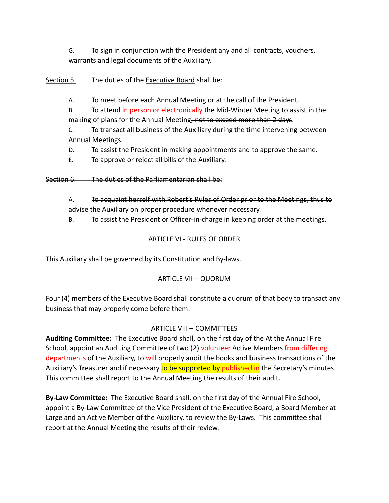G. To sign in conjunction with the President any and all contracts, vouchers, warrants and legal documents of the Auxiliary.

Section 5. The duties of the Executive Board shall be:

A. To meet before each Annual Meeting or at the call of the President.

B. To attend in person or electronically the Mid-Winter Meeting to assist in the making of plans for the Annual Meeting, not to exceed more than 2 days.

C. To transact all business of the Auxiliary during the time intervening between Annual Meetings.

D. To assist the President in making appointments and to approve the same.

E. To approve or reject all bills of the Auxiliary.

Section 6. The duties of the Parliamentarian shall be:

A. To acquaint herself with Robert's Rules of Order prior to the Meetings, thus to advise the Auxiliary on proper procedure whenever necessary.

B. To assist the President or Officer-in-charge in keeping order at the meetings.

#### ARTICLE VI - RULES OF ORDER

This Auxiliary shall be governed by its Constitution and By-laws.

#### ARTICLE VII – QUORUM

Four (4) members of the Executive Board shall constitute a quorum of that body to transact any business that may properly come before them.

#### ARTICLE VIII – COMMITTEES

Auditing Committee: The Executive Board shall, on the first day of the At the Annual Fire School, appoint an Auditing Committee of two (2) volunteer Active Members from differing departments of the Auxiliary, to will properly audit the books and business transactions of the Auxiliary's Treasurer and if necessary **to be supported by published in** the Secretary's minutes. This committee shall report to the Annual Meeting the results of their audit.

By-Law Committee: The Executive Board shall, on the first day of the Annual Fire School, appoint a By-Law Committee of the Vice President of the Executive Board, a Board Member at Large and an Active Member of the Auxiliary, to review the By-Laws. This committee shall report at the Annual Meeting the results of their review.